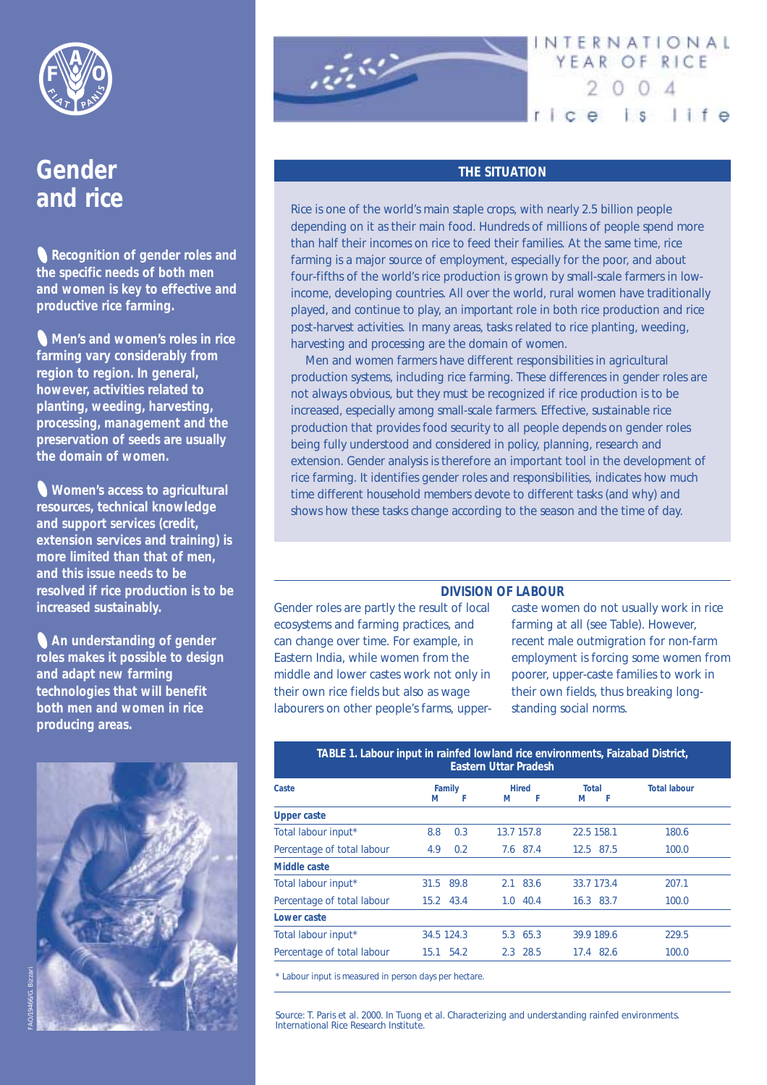

# Gender **and rice**

**Recognition of gender roles and the specific needs of both men and women is key to effective and productive rice farming.**

**Men's and women's roles in rice farming vary considerably from region to region. In general, however, activities related to planting, weeding, harvesting, processing, management and the preservation of seeds are usually the domain of women.** 

**Women's access to agricultural resources, technical knowledge and support services (credit, extension services and training) is more limited than that of men, and this issue needs to be resolved if rice production is to be increased sustainably.**

**An understanding of gender roles makes it possible to design and adapt new farming technologies that will benefit both men and women in rice producing areas.**





## NTERNATIONAL YEAR OF RICE  $2004$ rice is life

#### **THE SITUATION**

Rice is one of the world's main staple crops, with nearly 2.5 billion people depending on it as their main food. Hundreds of millions of people spend more than half their incomes on rice to feed their families. At the same time, rice farming is a major source of employment, especially for the poor, and about four-fifths of the world's rice production is grown by small-scale farmers in lowincome, developing countries. All over the world, rural women have traditionally played, and continue to play, an important role in both rice production and rice post-harvest activities. In many areas, tasks related to rice planting, weeding, harvesting and processing are the domain of women.

Men and women farmers have different responsibilities in agricultural production systems, including rice farming. These differences in gender roles are not always obvious, but they must be recognized if rice production is to be increased, especially among small-scale farmers. Effective, sustainable rice production that provides food security to all people depends on gender roles being fully understood and considered in policy, planning, research and extension. Gender analysis is therefore an important tool in the development of rice farming. It identifies gender roles and responsibilities, indicates how much time different household members devote to different tasks (and why) and shows how these tasks change according to the season and the time of day.

#### **DIVISION OF LABOUR**

Gender roles are partly the result of local ecosystems and farming practices, and can change over time. For example, in Eastern India, while women from the middle and lower castes work not only in their own rice fields but also as wage labourers on other people's farms, uppercaste women do not usually work in rice farming at all (see Table). However, recent male outmigration for non-farm employment is forcing some women from poorer, upper-caste families to work in their own fields, thus breaking longstanding social norms.

| TABLE 1. Labour input in rainfed lowland rice environments, Faizabad District,<br><b>Eastern Uttar Pradesh</b> |      |                                                        |      |                                                                                                |                     |
|----------------------------------------------------------------------------------------------------------------|------|--------------------------------------------------------|------|------------------------------------------------------------------------------------------------|---------------------|
| м                                                                                                              | F    | м                                                      | F    | <b>Total</b><br>F<br>м                                                                         | <b>Total labour</b> |
|                                                                                                                |      |                                                        |      |                                                                                                |                     |
| 8.8                                                                                                            | 0.3  |                                                        |      | 22.5 158.1                                                                                     | 180.6               |
| 4.9                                                                                                            | 0.2  |                                                        |      | 12.5 87.5                                                                                      | 100.0               |
|                                                                                                                |      |                                                        |      |                                                                                                |                     |
|                                                                                                                |      |                                                        |      | 33.7 173.4                                                                                     | 207.1               |
|                                                                                                                |      |                                                        | 40.4 | 16.3 83.7                                                                                      | 100.0               |
|                                                                                                                |      |                                                        |      |                                                                                                |                     |
|                                                                                                                |      |                                                        |      | 39.9 189.6                                                                                     | 229.5               |
|                                                                                                                | 54.2 |                                                        |      | 17.4 82.6                                                                                      | 100.0               |
|                                                                                                                |      | Family<br>31.5 89.8<br>15.2 43.4<br>34.5 124.3<br>15.1 |      | <b>Hired</b><br>13.7 157.8<br>7.6 87.4<br>2.1 83.6<br>1.0 <sub>1</sub><br>5.3 65.3<br>2.3 28.5 |                     |

\* Labour input is measured in person days per hectare.

*Source:* T. Paris et al. 2000. In Tuong et al. Characterizing and understanding rainfed environments. International Rice Research Institute.